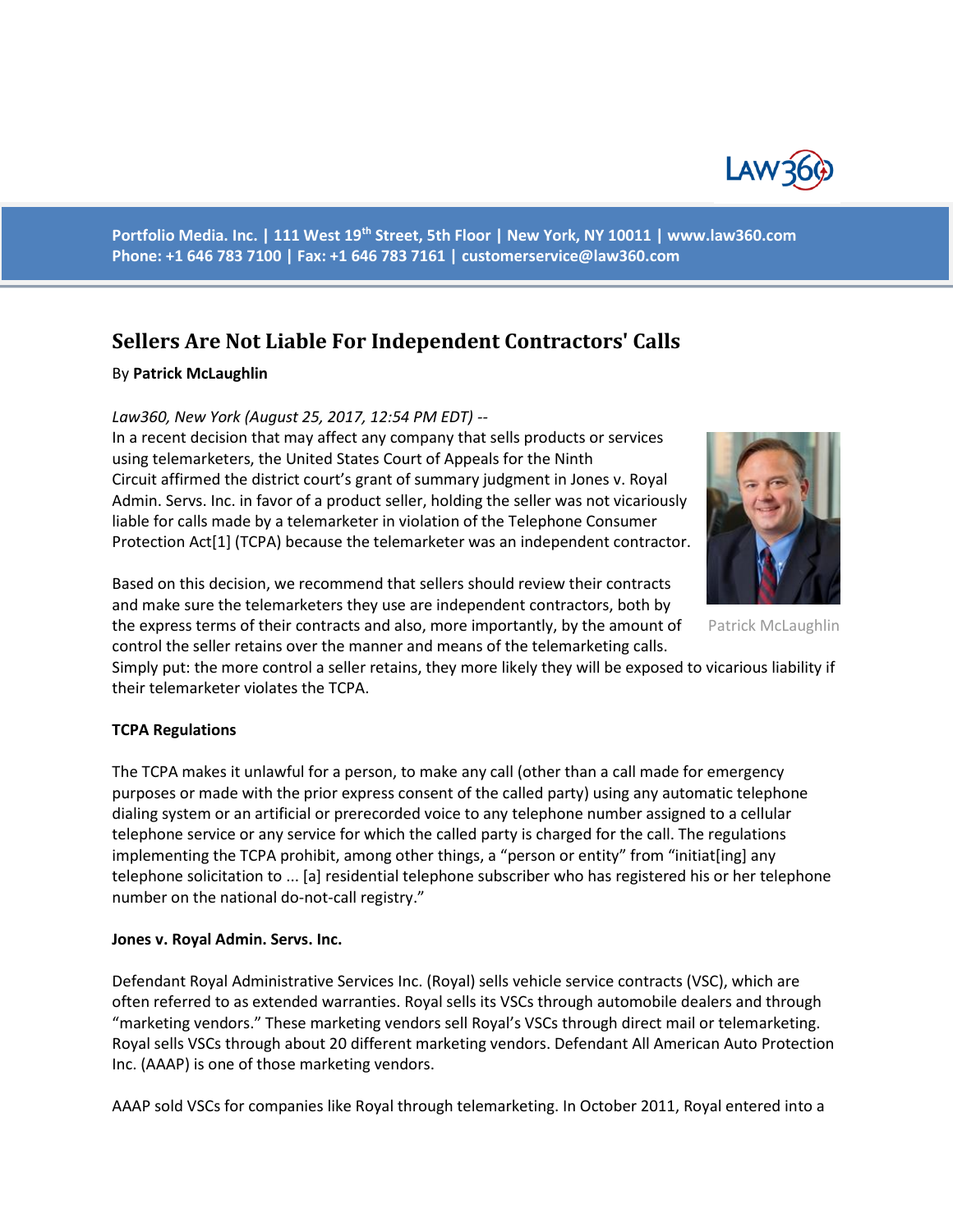

**Portfolio Media. Inc. | 111 West 19th Street, 5th Floor | New York, NY 10011 | www.law360.com Phone: +1 646 783 7100 | Fax: +1 646 783 7161 | [customerservice@law360.com](mailto:customerservice@law360.com)**

# **Sellers Are Not Liable For Independent Contractors' Calls**

#### By **Patrick McLaughlin**

#### *Law360, New York (August 25, 2017, 12:54 PM EDT) --*

In a recent decision that may affect any company that sells products or services using telemarketers, the United States Court of Appeals for the Ninth Circuit affirmed the district court's grant of summary judgment in Jones v. Royal Admin. Servs. Inc. in favor of a product seller, holding the seller was not vicariously liable for calls made by a telemarketer in violation of the Telephone Consumer Protection Act[1] (TCPA) because the telemarketer was an independent contractor.

Based on this decision, we recommend that sellers should review their contracts and make sure the telemarketers they use are independent contractors, both by the express terms of their contracts and also, more importantly, by the amount of

control the seller retains over the manner and means of the telemarketing calls.

Simply put: the more control a seller retains, they more likely they will be exposed to vicarious liability if their telemarketer violates the TCPA.

## **TCPA Regulations**

The TCPA makes it unlawful for a person, to make any call (other than a call made for emergency purposes or made with the prior express consent of the called party) using any automatic telephone dialing system or an artificial or prerecorded voice to any telephone number assigned to a cellular telephone service or any service for which the called party is charged for the call. The regulations implementing the TCPA prohibit, among other things, a "person or entity" from "initiat[ing] any telephone solicitation to ... [a] residential telephone subscriber who has registered his or her telephone number on the national do-not-call registry."

#### **Jones v. Royal Admin. Servs. Inc.**

Defendant Royal Administrative Services Inc. (Royal) sells vehicle service contracts (VSC), which are often referred to as extended warranties. Royal sells its VSCs through automobile dealers and through "marketing vendors." These marketing vendors sell Royal's VSCs through direct mail or telemarketing. Royal sells VSCs through about 20 different marketing vendors. Defendant All American Auto Protection Inc. (AAAP) is one of those marketing vendors.

AAAP sold VSCs for companies like Royal through telemarketing. In October 2011, Royal entered into a



Patrick McLaughlin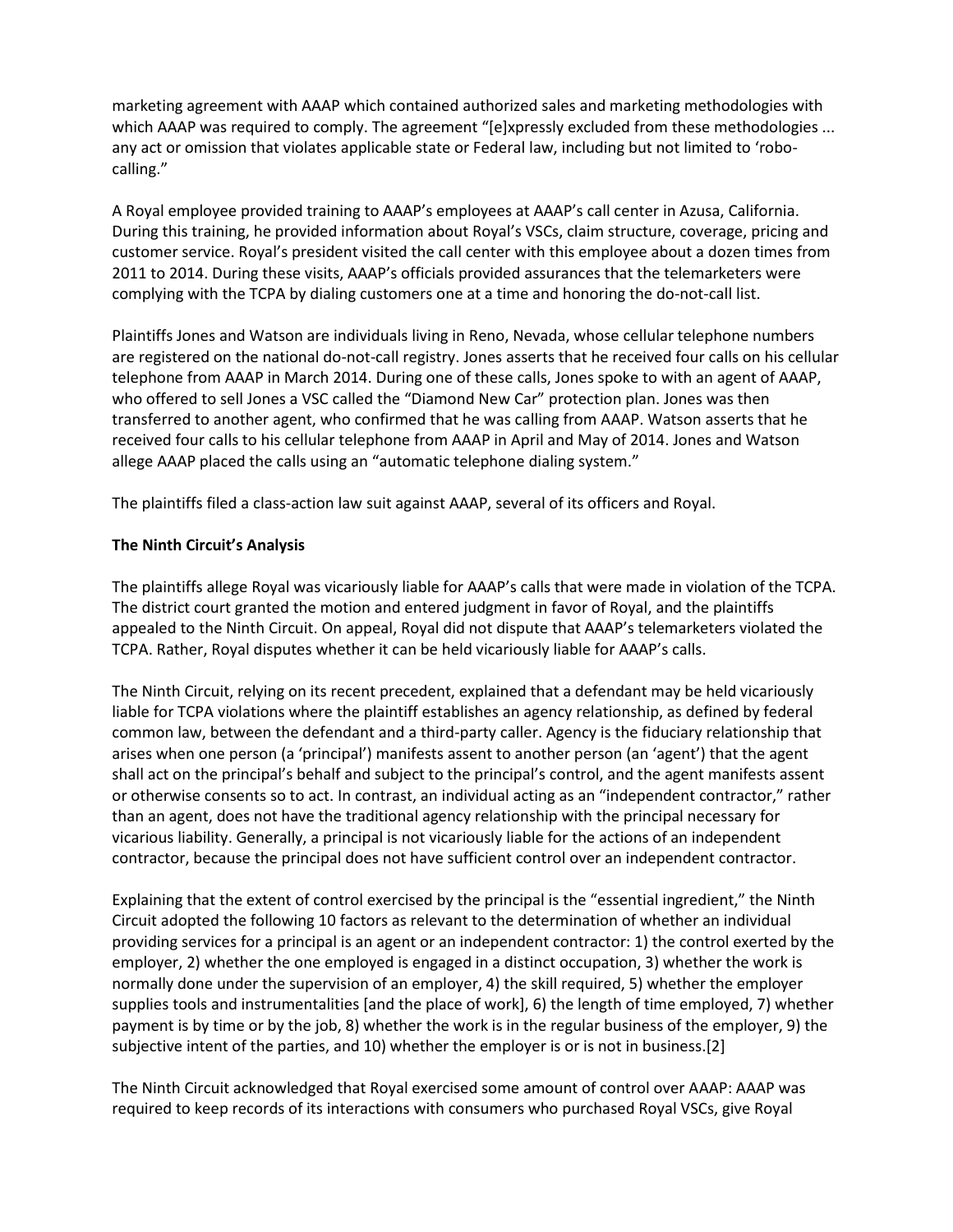marketing agreement with AAAP which contained authorized sales and marketing methodologies with which AAAP was required to comply. The agreement "[e]xpressly excluded from these methodologies ... any act or omission that violates applicable state or Federal law, including but not limited to 'robocalling."

A Royal employee provided training to AAAP's employees at AAAP's call center in Azusa, California. During this training, he provided information about Royal's VSCs, claim structure, coverage, pricing and customer service. Royal's president visited the call center with this employee about a dozen times from 2011 to 2014. During these visits, AAAP's officials provided assurances that the telemarketers were complying with the TCPA by dialing customers one at a time and honoring the do-not-call list.

Plaintiffs Jones and Watson are individuals living in Reno, Nevada, whose cellular telephone numbers are registered on the national do-not-call registry. Jones asserts that he received four calls on his cellular telephone from AAAP in March 2014. During one of these calls, Jones spoke to with an agent of AAAP, who offered to sell Jones a VSC called the "Diamond New Car" protection plan. Jones was then transferred to another agent, who confirmed that he was calling from AAAP. Watson asserts that he received four calls to his cellular telephone from AAAP in April and May of 2014. Jones and Watson allege AAAP placed the calls using an "automatic telephone dialing system."

The plaintiffs filed a class-action law suit against AAAP, several of its officers and Royal.

## **The Ninth Circuit's Analysis**

The plaintiffs allege Royal was vicariously liable for AAAP's calls that were made in violation of the TCPA. The district court granted the motion and entered judgment in favor of Royal, and the plaintiffs appealed to the Ninth Circuit. On appeal, Royal did not dispute that AAAP's telemarketers violated the TCPA. Rather, Royal disputes whether it can be held vicariously liable for AAAP's calls.

The Ninth Circuit, relying on its recent precedent, explained that a defendant may be held vicariously liable for TCPA violations where the plaintiff establishes an agency relationship, as defined by federal common law, between the defendant and a third-party caller. Agency is the fiduciary relationship that arises when one person (a 'principal') manifests assent to another person (an 'agent') that the agent shall act on the principal's behalf and subject to the principal's control, and the agent manifests assent or otherwise consents so to act. In contrast, an individual acting as an "independent contractor," rather than an agent, does not have the traditional agency relationship with the principal necessary for vicarious liability. Generally, a principal is not vicariously liable for the actions of an independent contractor, because the principal does not have sufficient control over an independent contractor.

Explaining that the extent of control exercised by the principal is the "essential ingredient," the Ninth Circuit adopted the following 10 factors as relevant to the determination of whether an individual providing services for a principal is an agent or an independent contractor: 1) the control exerted by the employer, 2) whether the one employed is engaged in a distinct occupation, 3) whether the work is normally done under the supervision of an employer, 4) the skill required, 5) whether the employer supplies tools and instrumentalities [and the place of work], 6) the length of time employed, 7) whether payment is by time or by the job, 8) whether the work is in the regular business of the employer, 9) the subjective intent of the parties, and 10) whether the employer is or is not in business.[2]

The Ninth Circuit acknowledged that Royal exercised some amount of control over AAAP: AAAP was required to keep records of its interactions with consumers who purchased Royal VSCs, give Royal